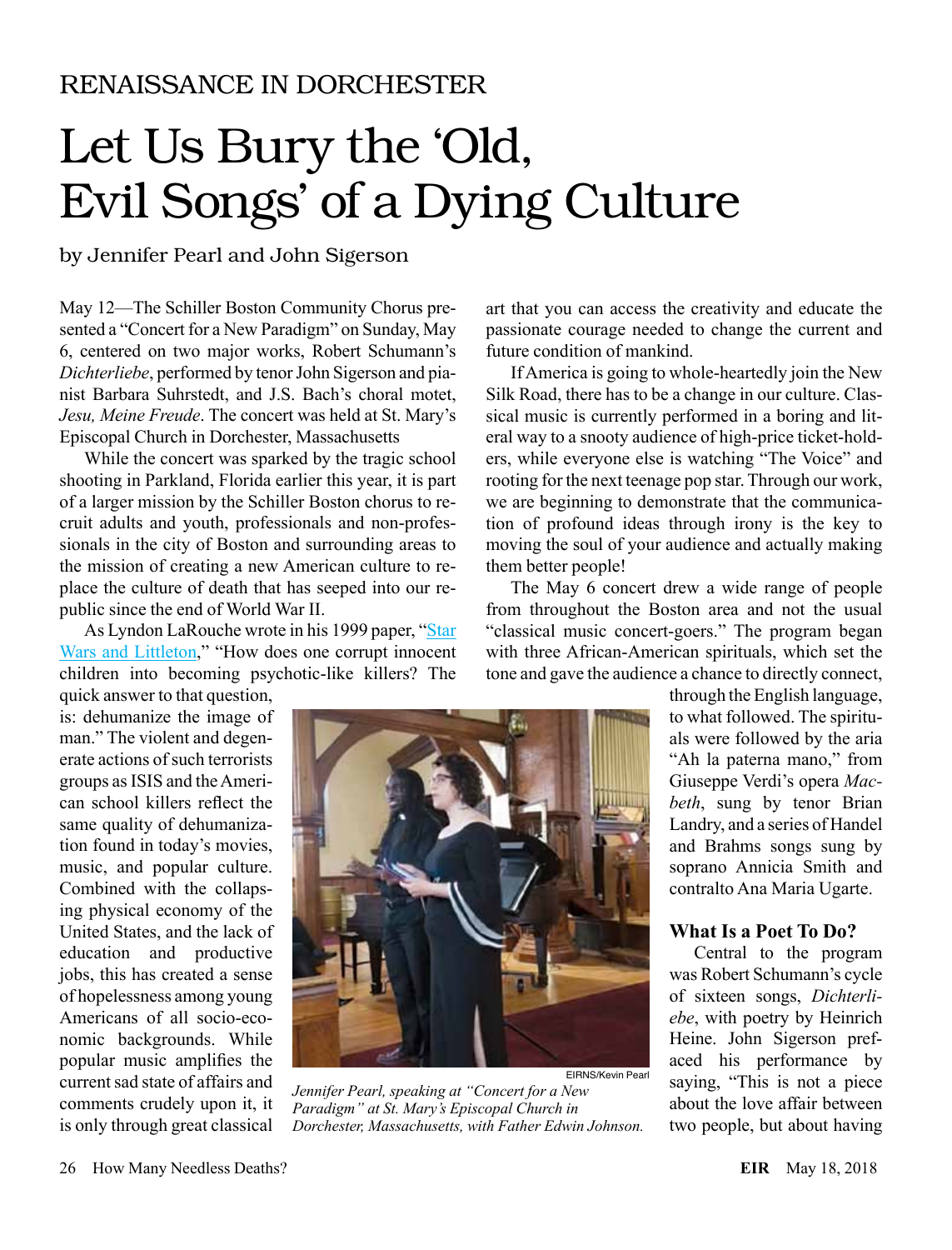## RENAISSANCE IN DORCHESTER

## Let Us Bury the 'Old, Evil Songs' of a Dying Culture

by Jennifer Pearl and John Sigerson

May 12—The Schiller Boston Community Chorus presented a "Concert for a New Paradigm" on Sunday, May 6, centered on two major works, Robert Schumann's *Dichterliebe*, performed by tenor John Sigerson and pianist Barbara Suhrstedt, and J.S. Bach's choral motet, *Jesu, Meine Freude*. The concert was held at St. Mary's Episcopal Church in Dorchester, Massachusetts

While the concert was sparked by the tragic school shooting in Parkland, Florida earlier this year, it is part of a larger mission by the Schiller Boston chorus to recruit adults and youth, professionals and non-professionals in the city of Boston and surrounding areas to the mission of creating a new American culture to replace the culture of death that has seeped into our republic since the end of World War II.

As Lyndon LaRouche wrote in his 1999 paper, "[Star](https://www.larouchepub.com/lar/1999/lar_littleton_2627.html) [Wars and Littleton](https://www.larouchepub.com/lar/1999/lar_littleton_2627.html)," "How does one corrupt innocent children into becoming psychotic-like killers? The

quick answer to that question, is: dehumanize the image of man." The violent and degenerate actions of such terrorists groups as ISIS and the American school killers reflect the same quality of dehumanization found in today's movies, music, and popular culture. Combined with the collapsing physical economy of the United States, and the lack of education and productive jobs, this has created a sense of hopelessness among young Americans of all socio-economic backgrounds. While popular music amplifies the current sad state of affairs and comments crudely upon it, it is only through great classical



*Jennifer Pearl, speaking at "Concert for a New Paradigm" at St. Mary's Episcopal Church in Dorchester, Massachusetts, with Father Edwin Johnson.*

art that you can access the creativity and educate the passionate courage needed to change the current and future condition of mankind.

If America is going to whole-heartedly join the New Silk Road, there has to be a change in our culture. Classical music is currently performed in a boring and literal way to a snooty audience of high-price ticket-holders, while everyone else is watching "The Voice" and rooting for the next teenage pop star. Through our work, we are beginning to demonstrate that the communication of profound ideas through irony is the key to moving the soul of your audience and actually making them better people!

The May 6 concert drew a wide range of people from throughout the Boston area and not the usual "classical music concert-goers." The program began with three African-American spirituals, which set the tone and gave the audience a chance to directly connect,

> through the English language, to what followed. The spirituals were followed by the aria "Ah la paterna mano," from Giuseppe Verdi's opera *Macbeth*, sung by tenor Brian Landry, and a series of Handel and Brahms songs sung by soprano Annicia Smith and contralto Ana Maria Ugarte.

## **What Is a Poet To Do?**

Central to the program was Robert Schumann's cycle of sixteen songs, *Dichterliebe*, with poetry by Heinrich Heine. John Sigerson prefaced his performance by saying, "This is not a piece about the love affair between two people, but about having